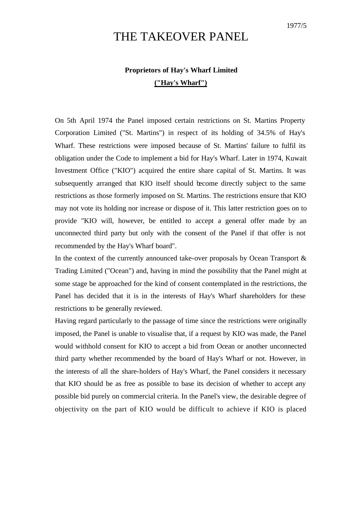## THE TAKEOVER PANEL

## **Proprietors of Hay's Wharf Limited ("Hay's Wharf")**

On 5th April 1974 the Panel imposed certain restrictions on St. Martins Property Corporation Limited ("St. Martins") in respect of its holding of 34.5% of Hay's Wharf. These restrictions were imposed because of St. Martins' failure to fulfil its obligation under the Code to implement a bid for Hay's Wharf. Later in 1974, Kuwait Investment Office ("KIO") acquired the entire share capital of St. Martins. It was subsequently arranged that KIO itself should become directly subject to the same restrictions as those formerly imposed on St. Martins. The restrictions ensure that KIO may not vote its holding nor increase or dispose of it. This latter restriction goes on to provide "KIO will, however, be entitled to accept a general offer made by an unconnected third party but only with the consent of the Panel if that offer is not recommended by the Hay's Wharf board".

In the context of the currently announced take-over proposals by Ocean Transport  $\&$ Trading Limited ("Ocean") and, having in mind the possibility that the Panel might at some stage be approached for the kind of consent contemplated in the restrictions, the Panel has decided that it is in the interests of Hay's Wharf shareholders for these restrictions to be generally reviewed.

Having regard particularly to the passage of time since the restrictions were originally imposed, the Panel is unable to visualise that, if a request by KIO was made, the Panel would withhold consent for KIO to accept a bid from Ocean or another unconnected third party whether recommended by the board of Hay's Wharf or not. However, in the interests of all the share-holders of Hay's Wharf, the Panel considers it necessary that KIO should be as free as possible to base its decision of whether to accept any possible bid purely on commercial criteria. In the Panel's view, the desirable degree of objectivity on the part of KIO would be difficult to achieve if KIO is placed